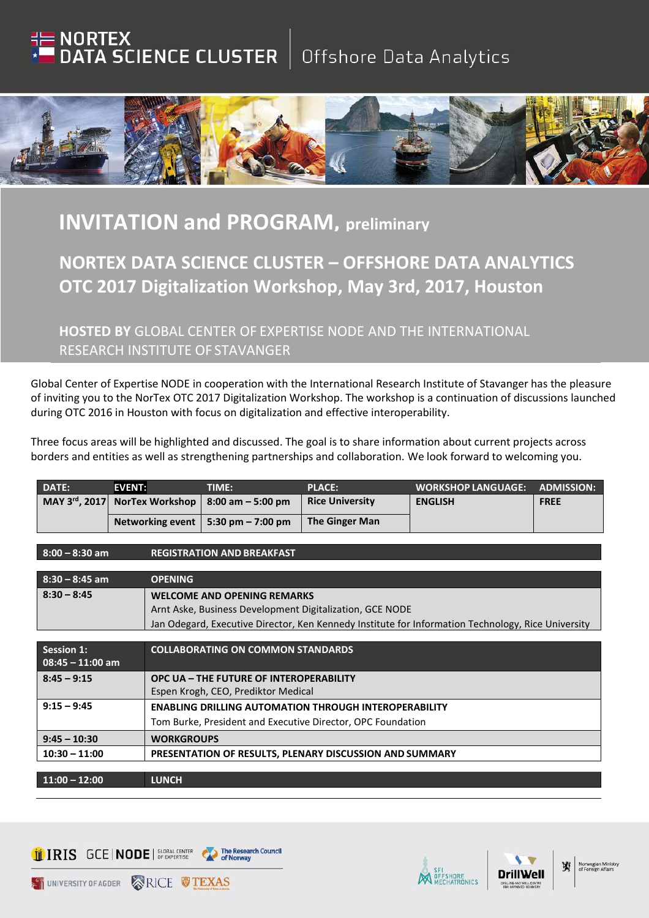## **NORTEX**<br>DATA SCIENCE CLUSTER | Offshore Data Analytics



## **INVITATION and PROGRAM, preliminary**

## **NORTEX DATA SCIENCE CLUSTER – OFFSHORE DATA ANALYTICS OTC 2017 Digitalization Workshop, May 3rd, 2017, Houston**

**HOSTED BY** GLOBAL CENTER OF EXPERTISE NODE AND THE INTERNATIONAL RESEARCH INSTITUTE OF STAVANGER

Global Center of Expertise NODE in cooperation with the International Research Institute of Stavanger has the pleasure of inviting you to the NorTex OTC 2017 Digitalization Workshop. The workshop is a continuation of discussions launched during OTC 2016 in Houston with focus on digitalization and effective interoperability.

Three focus areas will be highlighted and discussed. The goal is to share information about current projects across borders and entities as well as strengthening partnerships and collaboration. We look forward to welcoming you.

| <b>DATE:</b> | <b>EVENT:</b> | TIME:                                                          | <b>PLACE:</b>          | <b>I WORKSHOP LANGUAGE: 1</b> | <b>ADMISSION:</b> |
|--------------|---------------|----------------------------------------------------------------|------------------------|-------------------------------|-------------------|
|              |               | MAY 3 <sup>rd</sup> , 2017 NorTex Workshop   8:00 am - 5:00 pm | <b>Rice University</b> | <b>ENGLISH</b>                | <b>FREE</b>       |
|              |               | Networking event   5:30 pm $-$ 7:00 pm                         | <b>The Ginger Man</b>  |                               |                   |

**8:00 – 8:30 am REGISTRATION AND BREAKFAST**

| $8:30 - 8:45$ am   | <b>OPENING</b>                                                                                     |
|--------------------|----------------------------------------------------------------------------------------------------|
| $8:30 - 8:45$      | <b>WELCOME AND OPENING REMARKS</b>                                                                 |
|                    | Arnt Aske, Business Development Digitalization, GCE NODE                                           |
|                    | Jan Odegard, Executive Director, Ken Kennedy Institute for Information Technology, Rice University |
|                    |                                                                                                    |
| <b>Session 1:</b>  | <b>COLLABORATING ON COMMON STANDARDS</b>                                                           |
| $08:45 - 11:00$ am |                                                                                                    |
| $8:45 - 9:15$      | OPC UA - THE FUTURE OF INTEROPERABILITY                                                            |
|                    | Espen Krogh, CEO, Prediktor Medical                                                                |
| $9:15 - 9:45$      | <b>ENABLING DRILLING AUTOMATION THROUGH INTEROPERABILITY</b>                                       |
|                    | Tom Burke, President and Executive Director, OPC Foundation                                        |
| $9:45 - 10:30$     | <b>WORKGROUPS</b>                                                                                  |
| $10:30 - 11:00$    | PRESENTATION OF RESULTS, PLENARY DISCUSSION AND SUMMARY                                            |
|                    |                                                                                                    |
| $11:00 - 12:00$    | <b>LUNCH</b>                                                                                       |